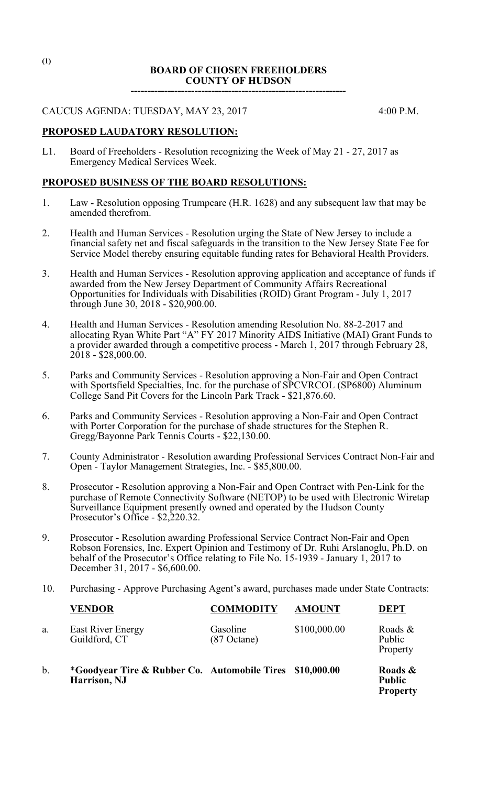#### **BOARD OF CHOSEN FREEHOLDERS COUNTY OF HUDSON**

**----------------------------------------------------------------**

CAUCUS AGENDA: TUESDAY, MAY 23, 2017 4:00 P.M.

## **PROPOSED LAUDATORY RESOLUTION:**

L1. Board of Freeholders - Resolution recognizing the Week of May 21 - 27, 2017 as Emergency Medical Services Week.

## **PROPOSED BUSINESS OF THE BOARD RESOLUTIONS:**

- 1. Law Resolution opposing Trumpcare (H.R. 1628) and any subsequent law that may be amended therefrom.
- 2. Health and Human Services Resolution urging the State of New Jersey to include a financial safety net and fiscal safeguards in the transition to the New Jersey State Fee for Service Model thereby ensuring equitable funding rates for Behavioral Health Providers.
- 3. Health and Human Services Resolution approving application and acceptance of funds if awarded from the New Jersey Department of Community Affairs Recreational Opportunities for Individuals with Disabilities (ROID) Grant Program - July 1, 2017 through June 30, 2018 - \$20,900.00.
- 4. Health and Human Services Resolution amending Resolution No. 88-2-2017 and allocating Ryan White Part "A" FY 2017 Minority AIDS Initiative (MAI) Grant Funds to a provider awarded through a competitive process - March 1, 2017 through February 28,  $2018 - $28,000.00$ .
- 5. Parks and Community Services Resolution approving a Non-Fair and Open Contract with Sportsfield Specialties, Inc. for the purchase of SPCVRCOL (SP6800) Aluminum College Sand Pit Covers for the Lincoln Park Track - \$21,876.60.
- 6. Parks and Community Services Resolution approving a Non-Fair and Open Contract with Porter Corporation for the purchase of shade structures for the Stephen R. Gregg/Bayonne Park Tennis Courts - \$22,130.00.
- 7. County Administrator Resolution awarding Professional Services Contract Non-Fair and Open - Taylor Management Strategies, Inc. - \$85,800.00.
- 8. Prosecutor Resolution approving a Non-Fair and Open Contract with Pen-Link for the purchase of Remote Connectivity Software (NETOP) to be used with Electronic Wiretap Surveillance Equipment presently owned and operated by the Hudson County Prosecutor's Office - \$2,220.32.
- 9. Prosecutor Resolution awarding Professional Service Contract Non-Fair and Open Robson Forensics, Inc. Expert Opinion and Testimony of Dr. Ruhi Arslanoglu, Ph.D. on behalf of the Prosecutor's Office relating to File No. 15-1939 - January 1, 2017 to December 31, 2017 - \$6,600.00.
- 10. Purchasing Approve Purchasing Agent's award, purchases made under State Contracts:

|    | <b>VENDOR</b>                                                                       | <b>COMMODITY</b>                  | <b>AMOUNT</b> | <b>DEPT</b>                      |
|----|-------------------------------------------------------------------------------------|-----------------------------------|---------------|----------------------------------|
| a. | <b>East River Energy</b><br>Guildford, CT                                           | Gasoline<br>$(87 \text{ Octane})$ | \$100,000.00  | Roads $\&$<br>Public<br>Property |
| b. | <i>*Goodyear Tire &amp; Rubber Co. Automobile Tires \$10,000.00</i><br>Harrison, NJ |                                   |               | Roads &<br><b>Public</b>         |

**Property**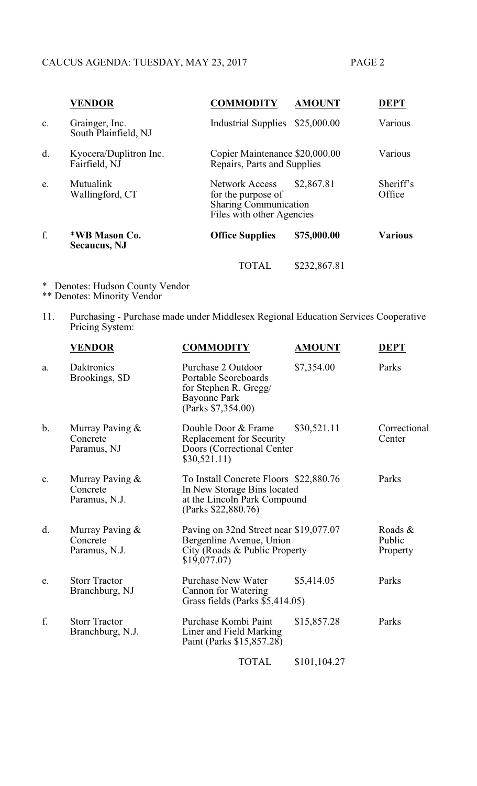|                | <b>VENDOR</b>                           | <b>COMMODITY</b>                                                                                                       | <b>AMOUNT</b> | <b>DEPT</b>         |
|----------------|-----------------------------------------|------------------------------------------------------------------------------------------------------------------------|---------------|---------------------|
| $\mathbf{c}$ . | Grainger, Inc.<br>South Plainfield, NJ  | <b>Industrial Supplies</b>                                                                                             | \$25,000.00   | Various             |
| d.             | Kyocera/Duplitron Inc.<br>Fairfield, NJ | Copier Maintenance \$20,000.00<br>Repairs, Parts and Supplies                                                          |               | Various             |
| e.             | Mutualink<br>Wallingford, CT            | \$2,867.81<br><b>Network Access</b><br>for the purpose of<br><b>Sharing Communication</b><br>Files with other Agencies |               | Sheriff's<br>Office |
| f.             | *WB Mason Co.<br><b>Secaucus</b> , NJ   | <b>Office Supplies</b>                                                                                                 | \$75,000.00   | <b>Various</b>      |
|                |                                         | TOTAL                                                                                                                  | \$232,867.81  |                     |

- \* Denotes: Hudson County Vendor \*\* Denotes: Minority Vendor
- 11. Purchasing Purchase made under Middlesex Regional Education Services Cooperative Pricing System:

|               | <b>VENDOR</b>                                | <b>COMMODITY</b>                                                                                                             | <b>AMOUNT</b> | <b>DEPT</b>                   |
|---------------|----------------------------------------------|------------------------------------------------------------------------------------------------------------------------------|---------------|-------------------------------|
| a.            | Daktronics<br>Brookings, SD                  | Purchase 2 Outdoor<br>Portable Scoreboards<br>for Stephen R. Gregg/<br><b>Bayonne Park</b><br>(Parks \$7,354.00)             | \$7,354.00    | Parks                         |
| $\mathbf b$ . | Murray Paving &<br>Concrete<br>Paramus, NJ   | Double Door & Frame<br>Replacement for Security<br>Doors (Correctional Center<br>\$30,521.11)                                | \$30,521.11   | Correctional<br>Center        |
| c.            | Murray Paving &<br>Concrete<br>Paramus, N.J. | To Install Concrete Floors \$22,880.76<br>In New Storage Bins located<br>at the Lincoln Park Compound<br>(Parks \$22,880.76) |               | Parks                         |
| d.            | Murray Paving &<br>Concrete<br>Paramus, N.J. | Paving on 32nd Street near \$19,077.07<br>Bergenline Avenue, Union<br>City (Roads & Public Property)<br>\$19,077.07          |               | Roads &<br>Public<br>Property |
| e.            | <b>Storr Tractor</b><br>Branchburg, NJ       | <b>Purchase New Water</b><br>Cannon for Watering<br>Grass fields (Parks \$5,414.05)                                          | \$5,414.05    | Parks                         |
| f.            | <b>Storr Tractor</b><br>Branchburg, N.J.     | Purchase Kombi Paint<br>Liner and Field Marking<br>Paint (Parks \$15,857.28)                                                 | \$15,857.28   | Parks                         |
|               |                                              | <b>TOTAL</b>                                                                                                                 | \$101,104.27  |                               |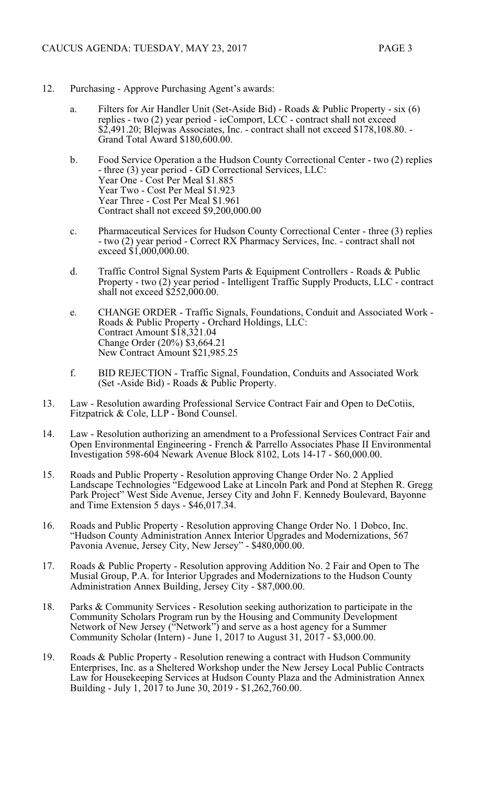- 12. Purchasing Approve Purchasing Agent's awards:
	- a. Filters for Air Handler Unit (Set-Aside Bid) Roads & Public Property six (6) replies - two (2) year period - ieComport, LCC - contract shall not exceed \$2,491.20; Blejwas Associates, Inc. - contract shall not exceed \$178,108.80. -Grand Total Award \$180,600.00.
	- b. Food Service Operation a the Hudson County Correctional Center two (2) replies - three (3) year period - GD Correctional Services, LLC: Year One - Cost Per Meal \$1.885 Year Two - Cost Per Meal \$1.923 Year Three - Cost Per Meal \$1.961 Contract shall not exceed \$9,200,000.00
	- c. Pharmaceutical Services for Hudson County Correctional Center three (3) replies - two (2) year period - Correct RX Pharmacy Services, Inc. - contract shall not exceed \$1,000,000.00.
	- d. Traffic Control Signal System Parts & Equipment Controllers Roads & Public Property - two (2) year period - Intelligent Traffic Supply Products, LLC - contract shall not exceed \$252,000.00.
	- e. CHANGE ORDER Traffic Signals, Foundations, Conduit and Associated Work Roads & Public Property - Orchard Holdings, LLC: Contract Amount \$18,321.04 Change Order (20%) \$3,664.21 New Contract Amount \$21,985.25
	- f. BID REJECTION Traffic Signal, Foundation, Conduits and Associated Work (Set -Aside Bid) - Roads & Public Property.
- 13. Law Resolution awarding Professional Service Contract Fair and Open to DeCotiis, Fitzpatrick & Cole, LLP - Bond Counsel.
- 14. Law Resolution authorizing an amendment to a Professional Services Contract Fair and Open Environmental Engineering - French & Parrello Associates Phase II Environmental Investigation 598-604 Newark Avenue Block 8102, Lots 14-17 - \$60,000.00.
- 15. Roads and Public Property Resolution approving Change Order No. 2 Applied Landscape Technologies "Edgewood Lake at Lincoln Park and Pond at Stephen R. Gregg Park Project" West Side Avenue, Jersey City and John F. Kennedy Boulevard, Bayonne and Time Extension 5 days - \$46,017.34.
- 16. Roads and Public Property Resolution approving Change Order No. 1 Dobco, Inc. "Hudson County Administration Annex Interior Upgrades and Modernizations, 567 Pavonia Avenue, Jersey City, New Jersey" - \$480,000.00.
- 17. Roads & Public Property Resolution approving Addition No. 2 Fair and Open to The Musial Group, P.A. for Interior Upgrades and Modernizations to the Hudson County Administration Annex Building, Jersey City - \$87,000.00.
- 18. Parks & Community Services Resolution seeking authorization to participate in the Community Scholars Program run by the Housing and Community Development Network of New Jersey ("Network") and serve as a host agency for a Summer Community Scholar (Intern) - June 1, 2017 to August 31, 2017 - \$3,000.00.
- 19. Roads & Public Property Resolution renewing a contract with Hudson Community Enterprises, Inc. as a Sheltered Workshop under the New Jersey Local Public Contracts Law for Housekeeping Services at Hudson County Plaza and the Administration Annex Building - July 1, 2017 to June 30, 2019 - \$1,262,760.00.